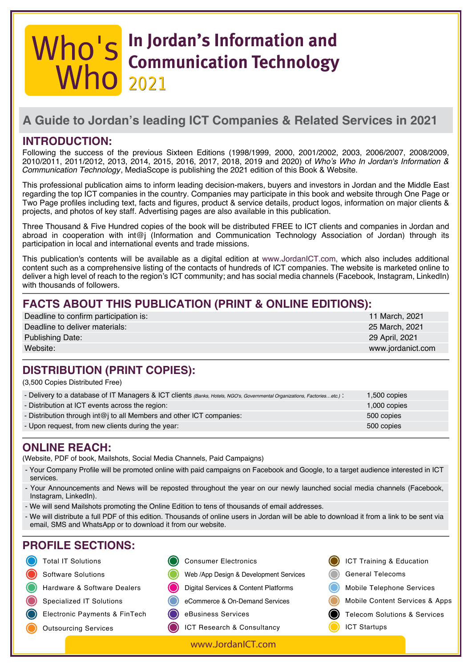# **In Jordan's Information and Communication Technology 2021 2021**

# **A Guide to Jordan's leading ICT Companies & Related Services in 2021**

### **INTRODUCTION:**

Following the success of the previous Sixteen Editions (1998/1999, 2000, 2001/2002, 2003, 2006/2007, 2008/2009, 2010/2011, 2011/2012, 2013, 2014, 2015, 2016, 2017, 2018, 2019 and 2020) of Who's Who In Jordan's Information & Communication Technology, MediaScope is publishing the 2021 edition of this Book & Website.

This professional publication aims to inform leading decision-makers, buyers and investors in Jordan and the Middle East regarding the top ICT companies in the country. Companies may participate in this book and website through One Page or Two Page profiles including text, facts and figures, product & service details, product logos, information on major clients & projects, and photos of key staff. Advertising pages are also available in this publication.

Three Thousand & Five Hundred copies of the book will be distributed FREE to ICT clients and companies in Jordan and abroad in cooperation with int@j (Information and Communication Technology Association of Jordan) through its participation in local and international events and trade missions.

This publication's contents will be available as a digital edition at www.JordanICT.com, which also includes additional content such as a comprehensive listing of the contacts of hundreds of ICT companies. The website is marketed online to deliver a high level of reach to the region's ICT community; and has social media channels (Facebook, Instagram, LinkedIn) with thousands of followers.

# **FACTS ABOUT THIS PUBLICATION (PRINT & ONLINE EDITIONS):**

| Deadline to confirm participation is: | 11 March, 2021    |
|---------------------------------------|-------------------|
| Deadline to deliver materials:        | 25 March, 2021    |
| <b>Publishing Date:</b>               | 29 April, 2021    |
| Website:                              | www.jordanict.com |

# **DISTRIBUTION (PRINT COPIES):**

(3,500 Copies Distributed Free)

| - Delivery to a database of IT Managers & ICT clients (Banks, Hotels, NGO's, Governmental Organizations, Factoriesetc.): | 1,500 copies |
|--------------------------------------------------------------------------------------------------------------------------|--------------|
| - Distribution at ICT events across the region:                                                                          | 1,000 copies |
| - Distribution through int@j to all Members and other ICT companies:                                                     | 500 copies   |
| - Upon request, from new clients during the year:                                                                        | 500 copies   |
|                                                                                                                          |              |

#### **ONLINE REACH:**

(Website, PDF of book, Mailshots, Social Media Channels, Paid Campaigns)

- Your Company Profile will be promoted online with paid campaigns on Facebook and Google, to a target audience interested in ICT services.
- Your Announcements and News will be reposted throughout the year on our newly launched social media channels (Facebook, Instagram, LinkedIn).
- We will send Mailshots promoting the Online Edition to tens of thousands of email addresses.
- We will distribute a full PDF of this edition. Thousands of online users in Jordan will be able to download it from a link to be sent via email, SMS and WhatsApp or to download it from our website.

# **PROFILE SECTIONS:**

- **O** Total IT Solutions
- Software Solutions
- Hardware & Software Dealers
- Specialized IT Solutions
- Electronic Payments & FinTech
- Outsourcing Services
- Web /App Design & Development Services Consumer Electronics
- Digital Services & Content Platforms
- eCommerce & On-Demand Services
- eBusiness Services
	- ICT Research & Consultancy

[www.JordanICT.com](http://www.jordanict.com)

- ICT Training & Education General Telecoms Mobile Telephone Services
	- Mobile Content Services & Apps
- Telecom Solutions & Services
- ICT Startups